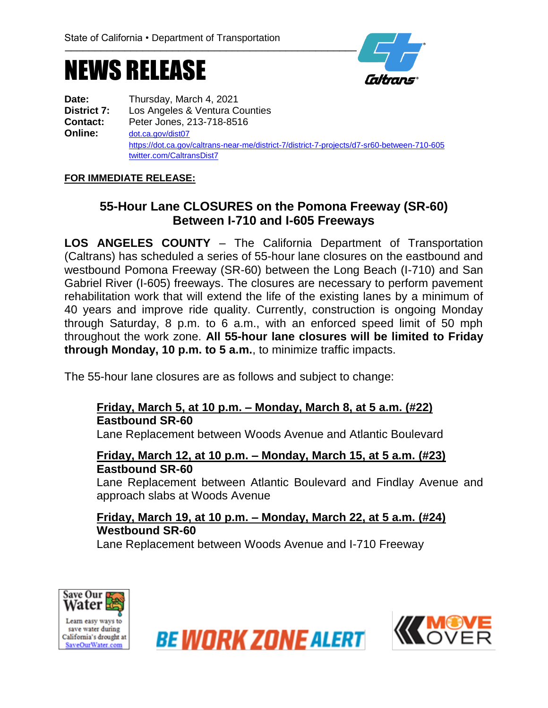## NEWS RELEASE



**Date:** Thursday, March 4, 2021 **District 7:** Los Angeles & Ventura Counties **Contact:** Peter Jones, 213-718-8516 **Online:** [dot.ca.gov/dist07](http://www.dot.ca.gov/dist07) https://dot.ca.gov/caltrans-near-me/district-7/district-7-projects/d7-sr60-between-710-605 twitter.com/CaltransDist7

#### **FOR IMMEDIATE RELEASE:**

### **55-Hour Lane CLOSURES on the Pomona Freeway (SR-60) Between I-710 and I-605 Freeways**

**LOS ANGELES COUNTY** – The California Department of Transportation (Caltrans) has scheduled a series of 55-hour lane closures on the eastbound and westbound Pomona Freeway (SR-60) between the Long Beach (I-710) and San Gabriel River (I-605) freeways. The closures are necessary to perform pavement rehabilitation work that will extend the life of the existing lanes by a minimum of 40 years and improve ride quality. Currently, construction is ongoing Monday through Saturday, 8 p.m. to 6 a.m., with an enforced speed limit of 50 mph throughout the work zone. **All 55-hour lane closures will be limited to Friday through Monday, 10 p.m. to 5 a.m.**, to minimize traffic impacts.

The 55-hour lane closures are as follows and subject to change:

#### **Friday, March 5, at 10 p.m. – Monday, March 8, at 5 a.m. (#22) Eastbound SR-60**

Lane Replacement between Woods Avenue and Atlantic Boulevard

#### **Friday, March 12, at 10 p.m. – Monday, March 15, at 5 a.m. (#23) Eastbound SR-60**

Lane Replacement between Atlantic Boulevard and Findlay Avenue and approach slabs at Woods Avenue

**Friday, March 19, at 10 p.m. – Monday, March 22, at 5 a.m. (#24) Westbound SR-60**

Lane Replacement between Woods Avenue and I-710 Freeway